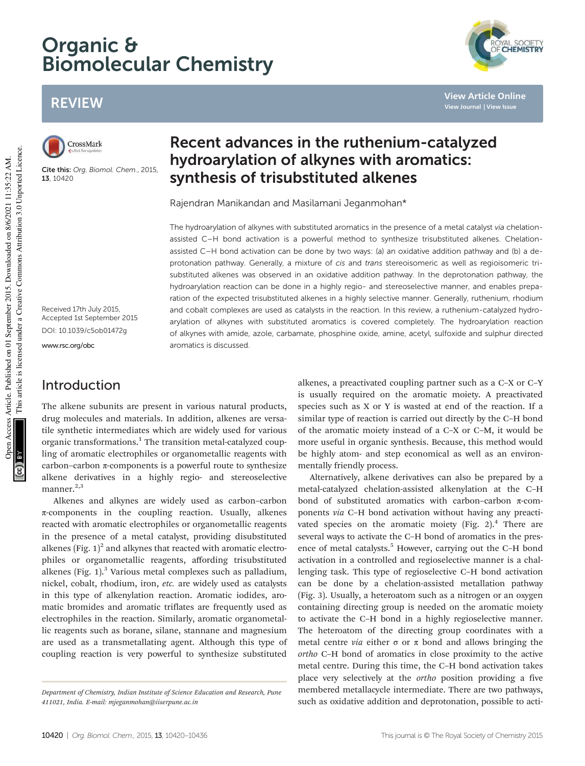# Organic & Biomolecular Chemistry

## REVIEW



Cite this: Org. Biomol. Chem., 2015, 13, 10420

## Recent advances in the ruthenium-catalyzed hydroarylation of alkynes with aromatics: synthesis of trisubstituted alkenes

Rajendran Manikandan and Masilamani Jeganmohan\*

The hydroarylation of alkynes with substituted aromatics in the presence of a metal catalyst via chelationassisted C–H bond activation is a powerful method to synthesize trisubstituted alkenes. Chelationassisted C–H bond activation can be done by two ways: (a) an oxidative addition pathway and (b) a deprotonation pathway. Generally, a mixture of cis and trans stereoisomeric as well as regioisomeric trisubstituted alkenes was observed in an oxidative addition pathway. In the deprotonation pathway, the hydroarylation reaction can be done in a highly regio- and stereoselective manner, and enables preparation of the expected trisubstituted alkenes in a highly selective manner. Generally, ruthenium, rhodium and cobalt complexes are used as catalysts in the reaction. In this review, a ruthenium-catalyzed hydroarylation of alkynes with substituted aromatics is covered completely. The hydroarylation reaction of alkynes with amide, azole, carbamate, phosphine oxide, amine, acetyl, sulfoxide and sulphur directed aromatics is discussed.

Received 17th July 2015, Accepted 1st September 2015 DOI: 10.1039/c5ob01472g

www.rsc.org/obc

#### Introduction

The alkene subunits are present in various natural products, drug molecules and materials. In addition, alkenes are versatile synthetic intermediates which are widely used for various organic transformations.<sup>1</sup> The transition metal-catalyzed coupling of aromatic electrophiles or organometallic reagents with carbon–carbon  $\pi$ -components is a powerful route to synthesize alkene derivatives in a highly regio- and stereoselective manner. $^{2,3}$ 

Alkenes and alkynes are widely used as carbon–carbon π-components in the coupling reaction. Usually, alkenes reacted with aromatic electrophiles or organometallic reagents in the presence of a metal catalyst, providing disubstituted alkenes (Fig.  $1)^2$  and alkynes that reacted with aromatic electrophiles or organometallic reagents, affording trisubstituted alkenes (Fig. 1).<sup>3</sup> Various metal complexes such as palladium, nickel, cobalt, rhodium, iron, etc. are widely used as catalysts in this type of alkenylation reaction. Aromatic iodides, aromatic bromides and aromatic triflates are frequently used as electrophiles in the reaction. Similarly, aromatic organometallic reagents such as borane, silane, stannane and magnesium are used as a transmetallating agent. Although this type of coupling reaction is very powerful to synthesize substituted

alkenes, a preactivated coupling partner such as a C–X or C–Y is usually required on the aromatic moiety. A preactivated species such as X or Y is wasted at end of the reaction. If a similar type of reaction is carried out directly by the C–H bond of the aromatic moiety instead of a C–X or C–M, it would be more useful in organic synthesis. Because, this method would be highly atom- and step economical as well as an environmentally friendly process.

Alternatively, alkene derivatives can also be prepared by a metal-catalyzed chelation-assisted alkenylation at the C–H bond of substituted aromatics with carbon–carbon π-components via C–H bond activation without having any preactivated species on the aromatic moiety (Fig.  $2$ ).<sup>4</sup> There are several ways to activate the C–H bond of aromatics in the presence of metal catalysts.<sup>5</sup> However, carrying out the C-H bond activation in a controlled and regioselective manner is a challenging task. This type of regioselective C–H bond activation can be done by a chelation-assisted metallation pathway (Fig. 3). Usually, a heteroatom such as a nitrogen or an oxygen containing directing group is needed on the aromatic moiety to activate the C–H bond in a highly regioselective manner. The heteroatom of the directing group coordinates with a metal centre *via* either  $\sigma$  or  $\pi$  bond and allows bringing the ortho C–H bond of aromatics in close proximity to the active metal centre. During this time, the C–H bond activation takes place very selectively at the ortho position providing a five membered metallacycle intermediate. There are two pathways, such as oxidative addition and deprotonation, possible to acti-

**View Article Online View Journal | View Issue**

Department of Chemistry, Indian Institute of Science Education and Research, Pune 411021, India. E-mail: mjeganmohan@iiserpune.ac.in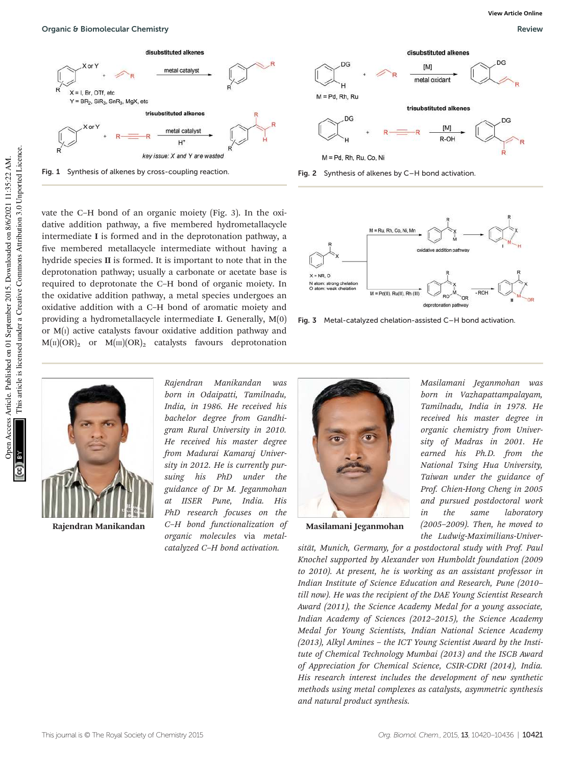

Fig. 1 Synthesis of alkenes by cross-coupling reaction. Fig. 2 Synthesis of alkenes by C–H bond activation.

vate the C–H bond of an organic moiety (Fig. 3). In the oxidative addition pathway, a five membered hydrometallacycle intermediate I is formed and in the deprotonation pathway, a five membered metallacycle intermediate without having a hydride species II is formed. It is important to note that in the deprotonation pathway; usually a carbonate or acetate base is required to deprotonate the C–H bond of organic moiety. In the oxidative addition pathway, a metal species undergoes an oxidative addition with a C–H bond of aromatic moiety and providing a hydrometallacycle intermediate I. Generally, M(0) or  $M(i)$  active catalysts favour oxidative addition pathway and  $M(\text{II})$ (OR)<sub>2</sub> or  $M(\text{III})$ (OR)<sub>2</sub> catalysts favours deprotonation







Fig. 3 Metal-catalyzed chelation-assisted C–H bond activation.



Rajendran Manikandan

Rajendran Manikandan was born in Odaipatti, Tamilnadu, India, in 1986. He received his bachelor degree from Gandhigram Rural University in 2010. He received his master degree from Madurai Kamaraj University in 2012. He is currently pursuing his PhD under the guidance of Dr M. Jeganmohan at IISER Pune, India. His PhD research focuses on the C–H bond functionalization of organic molecules via metalcatalyzed C–H bond activation.



Masilamani Jeganmohan

Masilamani Jeganmohan was born in Vazhapattampalayam, Tamilnadu, India in 1978. He received his master degree in organic chemistry from University of Madras in 2001. He earned his Ph.D. from the National Tsing Hua University, Taiwan under the guidance of Prof. Chien-Hong Cheng in 2005 and pursued postdoctoral work in the same laboratory (2005–2009). Then, he moved to the Ludwig-Maximilians-Univer-

sität, Munich, Germany, for a postdoctoral study with Prof. Paul Knochel supported by Alexander von Humboldt foundation (2009 to 2010). At present, he is working as an assistant professor in Indian Institute of Science Education and Research, Pune (2010– till now). He was the recipient of the DAE Young Scientist Research Award (2011), the Science Academy Medal for a young associate, Indian Academy of Sciences (2012–2015), the Science Academy Medal for Young Scientists, Indian National Science Academy (2013), Alkyl Amines – the ICT Young Scientist Award by the Institute of Chemical Technology Mumbai (2013) and the ISCB Award of Appreciation for Chemical Science, CSIR-CDRI (2014), India. His research interest includes the development of new synthetic methods using metal complexes as catalysts, asymmetric synthesis and natural product synthesis.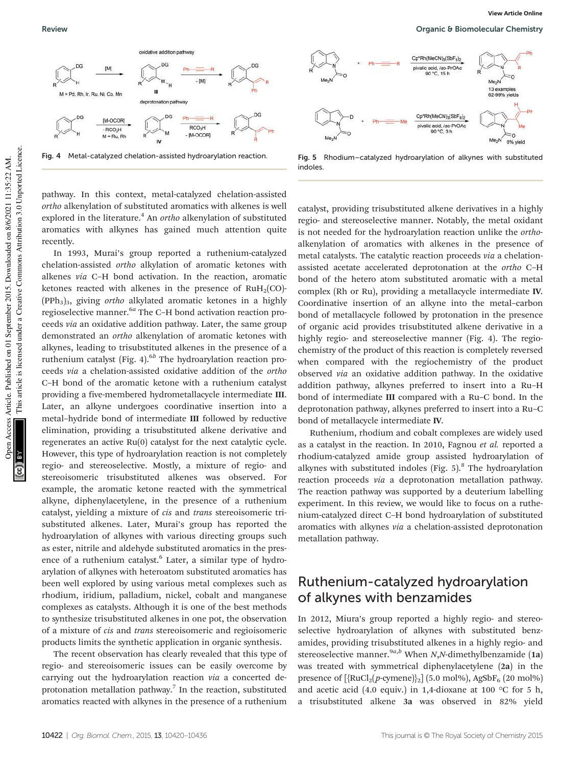

Fig. 4 Metal-catalyzed chelation-assisted hydroarylation reaction.

pathway. In this context, metal-catalyzed chelation-assisted ortho alkenylation of substituted aromatics with alkenes is well explored in the literature.<sup>4</sup> An ortho alkenylation of substituted aromatics with alkynes has gained much attention quite recently.

In 1993, Murai's group reported a ruthenium-catalyzed chelation-assisted ortho alkylation of aromatic ketones with alkenes via C–H bond activation. In the reaction, aromatic ketones reacted with alkenes in the presence of  $RuH<sub>2</sub>(CO)$ - $(PPh<sub>3</sub>)<sub>3</sub>$ , giving *ortho* alkylated aromatic ketones in a highly regioselective manner.<sup>6a</sup> The C-H bond activation reaction proceeds via an oxidative addition pathway. Later, the same group demonstrated an ortho alkenylation of aromatic ketones with alkynes, leading to trisubstituted alkenes in the presence of a ruthenium catalyst (Fig. 4). $^{6b}$  The hydroarylation reaction proceeds via a chelation-assisted oxidative addition of the ortho C–H bond of the aromatic ketone with a ruthenium catalyst providing a five-membered hydrometallacycle intermediate III. Later, an alkyne undergoes coordinative insertion into a metal–hydride bond of intermediate III followed by reductive elimination, providing a trisubstituted alkene derivative and regenerates an active Ru(0) catalyst for the next catalytic cycle. However, this type of hydroarylation reaction is not completely regio- and stereoselective. Mostly, a mixture of regio- and stereoisomeric trisubstituted alkenes was observed. For example, the aromatic ketone reacted with the symmetrical alkyne, diphenylacetylene, in the presence of a ruthenium catalyst, yielding a mixture of cis and trans stereoisomeric trisubstituted alkenes. Later, Murai's group has reported the hydroarylation of alkynes with various directing groups such as ester, nitrile and aldehyde substituted aromatics in the presence of a ruthenium catalyst.<sup>6</sup> Later, a similar type of hydroarylation of alkynes with heteroatom substituted aromatics has been well explored by using various metal complexes such as rhodium, iridium, palladium, nickel, cobalt and manganese complexes as catalysts. Although it is one of the best methods to synthesize trisubstituted alkenes in one pot, the observation of a mixture of cis and trans stereoisomeric and regioisomeric products limits the synthetic application in organic synthesis.

The recent observation has clearly revealed that this type of regio- and stereoisomeric issues can be easily overcome by carrying out the hydroarylation reaction via a concerted deprotonation metallation pathway.<sup>7</sup> In the reaction, substituted aromatics reacted with alkynes in the presence of a ruthenium



Fig. 5 Rhodium–catalyzed hydroarylation of alkynes with substituted indoles.

catalyst, providing trisubstituted alkene derivatives in a highly regio- and stereoselective manner. Notably, the metal oxidant is not needed for the hydroarylation reaction unlike the orthoalkenylation of aromatics with alkenes in the presence of metal catalysts. The catalytic reaction proceeds via a chelationassisted acetate accelerated deprotonation at the ortho C–H bond of the hetero atom substituted aromatic with a metal complex (Rh or Ru), providing a metallacycle intermediate IV. Coordinative insertion of an alkyne into the metal–carbon bond of metallacycle followed by protonation in the presence of organic acid provides trisubstituted alkene derivative in a highly regio- and stereoselective manner (Fig. 4). The regiochemistry of the product of this reaction is completely reversed when compared with the regiochemistry of the product observed via an oxidative addition pathway. In the oxidative addition pathway, alkynes preferred to insert into a Ru–H bond of intermediate III compared with a Ru–C bond. In the deprotonation pathway, alkynes preferred to insert into a Ru–C bond of metallacycle intermediate IV.

Ruthenium, rhodium and cobalt complexes are widely used as a catalyst in the reaction. In 2010, Fagnou et al. reported a rhodium-catalyzed amide group assisted hydroarylation of alkynes with substituted indoles (Fig. 5).<sup>8</sup> The hydroarylation reaction proceeds via a deprotonation metallation pathway. The reaction pathway was supported by a deuterium labelling experiment. In this review, we would like to focus on a ruthenium-catalyzed direct C–H bond hydroarylation of substituted aromatics with alkynes via a chelation-assisted deprotonation metallation pathway.

#### Ruthenium-catalyzed hydroarylation of alkynes with benzamides

In 2012, Miura's group reported a highly regio- and stereoselective hydroarylation of alkynes with substituted benzamides, providing trisubstituted alkenes in a highly regio- and stereoselective manner.<sup>9*a*,*b*</sup> When *N*,*N*-dimethylbenzamide (1a) was treated with symmetrical diphenylacetylene (2a) in the presence of  $[\{RuCl_2(p\text{-cymene})\}_2]$  (5.0 mol%), AgSbF<sub>6</sub> (20 mol%) and acetic acid (4.0 equiv.) in 1,4-dioxane at 100  $\,^{\circ}$ C for 5 h, a trisubstituted alkene 3a was observed in 82% yield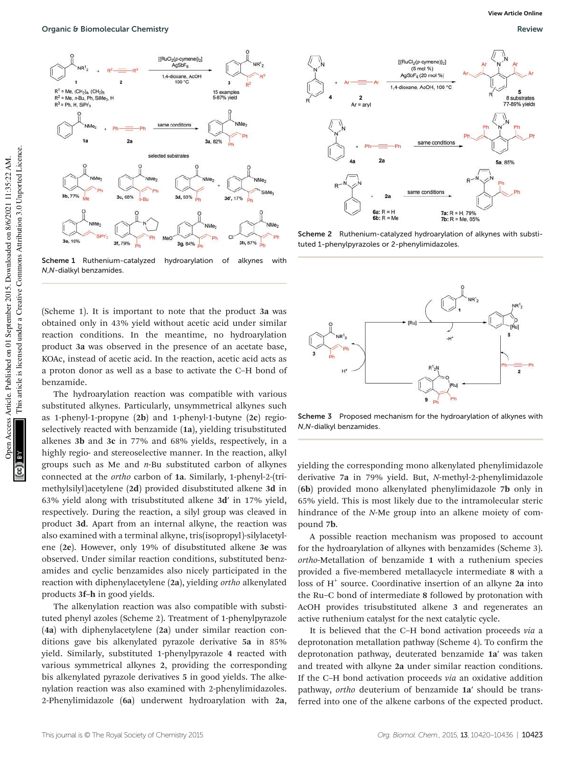

Scheme 1 Ruthenium-catalyzed hydroarylation of alkynes with N,N-dialkyl benzamides.

(Scheme 1). It is important to note that the product 3a was obtained only in 43% yield without acetic acid under similar reaction conditions. In the meantime, no hydroarylation product 3a was observed in the presence of an acetate base, KOAc, instead of acetic acid. In the reaction, acetic acid acts as a proton donor as well as a base to activate the C–H bond of benzamide.

The hydroarylation reaction was compatible with various substituted alkynes. Particularly, unsymmetrical alkynes such as 1-phenyl-1-propyne (2b) and 1-phenyl-1-butyne (2c) regioselectively reacted with benzamide (1a), yielding trisubstituted alkenes 3b and 3c in 77% and 68% yields, respectively, in a highly regio- and stereoselective manner. In the reaction, alkyl groups such as Me and  $n$ -Bu substituted carbon of alkynes connected at the ortho carbon of 1a. Similarly, 1-phenyl-2-(trimethylsilyl)acetylene (2d) provided disubstituted alkene 3d in 63% yield along with trisubstituted alkene 3d′ in 17% yield, respectively. During the reaction, a silyl group was cleaved in product 3d. Apart from an internal alkyne, the reaction was also examined with a terminal alkyne, tris(isopropyl)-silylacetylene (2e). However, only 19% of disubstituted alkene 3e was observed. Under similar reaction conditions, substituted benzamides and cyclic benzamides also nicely participated in the reaction with diphenylacetylene (2a), yielding ortho alkenylated products 3f–h in good yields.

The alkenylation reaction was also compatible with substituted phenyl azoles (Scheme 2). Treatment of 1-phenylpyrazole (4a) with diphenylacetylene (2a) under similar reaction conditions gave bis alkenylated pyrazole derivative 5a in 85% yield. Similarly, substituted 1-phenylpyrazole 4 reacted with various symmetrical alkynes 2, providing the corresponding bis alkenylated pyrazole derivatives 5 in good yields. The alkenylation reaction was also examined with 2-phenylimidazoles. 2-Phenylimidazole (6a) underwent hydroarylation with 2a,



Scheme 2 Ruthenium-catalyzed hydroarylation of alkynes with substituted 1-phenylpyrazoles or 2-phenylimidazoles.



Scheme 3 Proposed mechanism for the hydroarylation of alkynes with N,N-dialkyl benzamides.

yielding the corresponding mono alkenylated phenylimidazole derivative 7a in 79% yield. But, N-methyl-2-phenylimidazole (6b) provided mono alkenylated phenylimidazole 7b only in 65% yield. This is most likely due to the intramolecular steric hindrance of the N-Me group into an alkene moiety of compound 7b.

A possible reaction mechanism was proposed to account for the hydroarylation of alkynes with benzamides (Scheme 3). ortho-Metallation of benzamide 1 with a ruthenium species provided a five-membered metallacycle intermediate 8 with a loss of H<sup>+</sup> source. Coordinative insertion of an alkyne 2a into the Ru–C bond of intermediate 8 followed by protonation with AcOH provides trisubstituted alkene 3 and regenerates an active ruthenium catalyst for the next catalytic cycle.

It is believed that the C–H bond activation proceeds via a deprotonation metallation pathway (Scheme 4). To confirm the deprotonation pathway, deuterated benzamide 1a′ was taken and treated with alkyne 2a under similar reaction conditions. If the C–H bond activation proceeds via an oxidative addition pathway, ortho deuterium of benzamide 1a′ should be transferred into one of the alkene carbons of the expected product.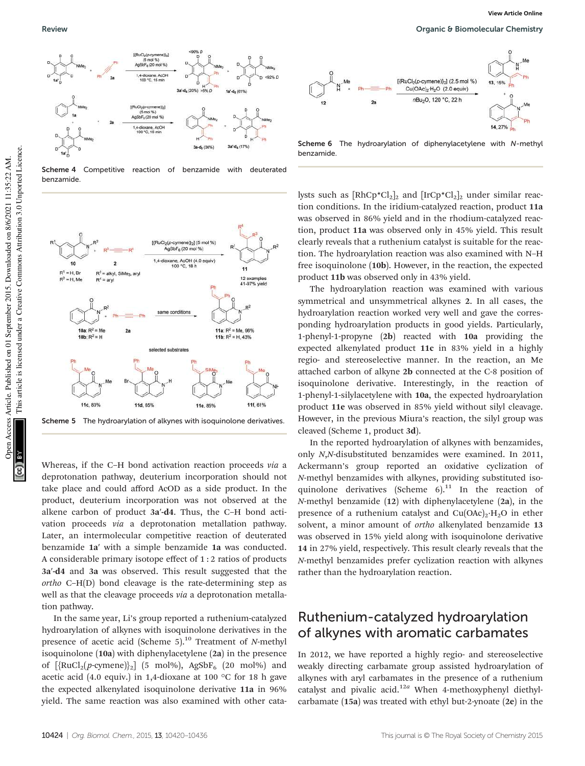

Scheme 4 Competitive reaction of benzamide with deuterated benzamide.



Scheme 5 The hydroarylation of alkynes with isoquinolone derivatives.

Whereas, if the C–H bond activation reaction proceeds via a deprotonation pathway, deuterium incorporation should not take place and could afford AcOD as a side product. In the product, deuterium incorporation was not observed at the alkene carbon of product 3a′-d4. Thus, the C–H bond activation proceeds via a deprotonation metallation pathway. Later, an intermolecular competitive reaction of deuterated benzamide 1a′ with a simple benzamide 1a was conducted. A considerable primary isotope effect of 1 : 2 ratios of products 3a′-d4 and 3a was observed. This result suggested that the ortho C–H(D) bond cleavage is the rate-determining step as well as that the cleavage proceeds *via* a deprotonation metallation pathway.

In the same year, Li's group reported a ruthenium-catalyzed hydroarylation of alkynes with isoquinolone derivatives in the presence of acetic acid (Scheme  $5$ ).<sup>10</sup> Treatment of N-methyl isoquinolone (10a) with diphenylacetylene (2a) in the presence of  $[\text{RuCl}_2(p\text{-cymene})]_2]$  (5 mol%), AgSbF<sub>6</sub> (20 mol%) and acetic acid (4.0 equiv.) in 1,4-dioxane at 100 °C for 18 h gave the expected alkenylated isoquinolone derivative 11a in 96% yield. The same reaction was also examined with other cata-



Scheme 6 The hydroarylation of diphenylacetylene with N-methyl benzamide.

lysts such as  $[RhCp^{\ast}Cl_2]_2$  and  $[IrCp^{\ast}Cl_2]_2$  under similar reaction conditions. In the iridium-catalyzed reaction, product 11a was observed in 86% yield and in the rhodium-catalyzed reaction, product 11a was observed only in 45% yield. This result clearly reveals that a ruthenium catalyst is suitable for the reaction. The hydroarylation reaction was also examined with N–H free isoquinolone (10b). However, in the reaction, the expected product 11b was observed only in 43% yield.

The hydroarylation reaction was examined with various symmetrical and unsymmetrical alkynes 2. In all cases, the hydroarylation reaction worked very well and gave the corresponding hydroarylation products in good yields. Particularly, 1-phenyl-1-propyne (2b) reacted with 10a providing the expected alkenylated product 11c in 83% yield in a highly regio- and stereoselective manner. In the reaction, an Me attached carbon of alkyne 2b connected at the C-8 position of isoquinolone derivative. Interestingly, in the reaction of 1-phenyl-1-silylacetylene with 10a, the expected hydroarylation product 11e was observed in 85% yield without silyl cleavage. However, in the previous Miura's reaction, the silyl group was cleaved (Scheme 1, product 3d).

In the reported hydroarylation of alkynes with benzamides, only N,N-disubstituted benzamides were examined. In 2011, Ackermann's group reported an oxidative cyclization of N-methyl benzamides with alkynes, providing substituted isoquinolone derivatives (Scheme  $6$ ).<sup>11</sup> In the reaction of N-methyl benzamide (12) with diphenylacetylene (2a), in the presence of a ruthenium catalyst and  $Cu(OAc)<sub>2</sub>·H<sub>2</sub>O$  in ether solvent, a minor amount of *ortho* alkenylated benzamide 13 was observed in 15% yield along with isoquinolone derivative 14 in 27% yield, respectively. This result clearly reveals that the N-methyl benzamides prefer cyclization reaction with alkynes rather than the hydroarylation reaction.

#### Ruthenium-catalyzed hydroarylation of alkynes with aromatic carbamates

In 2012, we have reported a highly regio- and stereoselective weakly directing carbamate group assisted hydroarylation of alkynes with aryl carbamates in the presence of a ruthenium catalyst and pivalic acid.<sup>12a</sup> When 4-methoxyphenyl diethylcarbamate (15a) was treated with ethyl but-2-ynoate (2e) in the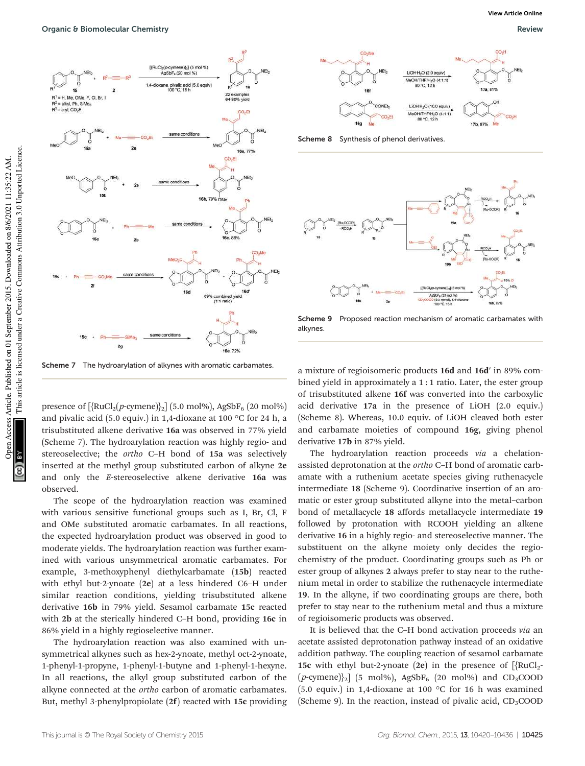



Scheme 8 Synthesis of phenol derivatives.



Scheme 9 Proposed reaction mechanism of aromatic carbamates with alkynes.

Scheme 7 The hydroarylation of alkynes with aromatic carbamates.

presence of  $[\text{RuCl}_2(p\text{-cymene})]_2]$  (5.0 mol%), AgSbF<sub>6</sub> (20 mol%) and pivalic acid (5.0 equiv.) in 1,4-dioxane at 100 °C for 24 h, a trisubstituted alkene derivative 16a was observed in 77% yield (Scheme 7). The hydroarylation reaction was highly regio- and stereoselective; the ortho C–H bond of 15a was selectively inserted at the methyl group substituted carbon of alkyne 2e and only the E-stereoselective alkene derivative 16a was observed.

The scope of the hydroarylation reaction was examined with various sensitive functional groups such as I, Br, Cl, F and OMe substituted aromatic carbamates. In all reactions, the expected hydroarylation product was observed in good to moderate yields. The hydroarylation reaction was further examined with various unsymmetrical aromatic carbamates. For example, 3-methoxyphenyl diethylcarbamate (15b) reacted with ethyl but-2-ynoate (2e) at a less hindered C6–H under similar reaction conditions, yielding trisubstituted alkene derivative 16b in 79% yield. Sesamol carbamate 15c reacted with 2b at the sterically hindered C–H bond, providing 16c in 86% yield in a highly regioselective manner.

The hydroarylation reaction was also examined with unsymmetrical alkynes such as hex-2-ynoate, methyl oct-2-ynoate, 1-phenyl-1-propyne, 1-phenyl-1-butyne and 1-phenyl-1-hexyne. In all reactions, the alkyl group substituted carbon of the alkyne connected at the ortho carbon of aromatic carbamates. But, methyl 3-phenylpropiolate (2f) reacted with 15c providing a mixture of regioisomeric products 16d and 16d′ in 89% combined yield in approximately a 1 : 1 ratio. Later, the ester group of trisubstituted alkene 16f was converted into the carboxylic acid derivative 17a in the presence of LiOH (2.0 equiv.) (Scheme 8). Whereas, 10.0 equiv. of LiOH cleaved both ester and carbamate moieties of compound 16g, giving phenol derivative 17b in 87% yield.

The hydroarylation reaction proceeds via a chelationassisted deprotonation at the ortho C–H bond of aromatic carbamate with a ruthenium acetate species giving ruthenacycle intermediate 18 (Scheme 9). Coordinative insertion of an aromatic or ester group substituted alkyne into the metal–carbon bond of metallacycle 18 affords metallacycle intermediate 19 followed by protonation with RCOOH yielding an alkene derivative 16 in a highly regio- and stereoselective manner. The substituent on the alkyne moiety only decides the regiochemistry of the product. Coordinating groups such as Ph or ester group of alkynes 2 always prefer to stay near to the ruthenium metal in order to stabilize the ruthenacycle intermediate 19. In the alkyne, if two coordinating groups are there, both prefer to stay near to the ruthenium metal and thus a mixture of regioisomeric products was observed.

It is believed that the C–H bond activation proceeds via an acetate assisted deprotonation pathway instead of an oxidative addition pathway. The coupling reaction of sesamol carbamate 15c with ethyl but-2-ynoate (2e) in the presence of  $[\text{RuCl}_2$$ - $(p\text{-symene})\}_2$ ] (5 mol%), AgSbF<sub>6</sub> (20 mol%) and CD<sub>3</sub>COOD (5.0 equiv.) in 1,4-dioxane at 100 °C for 16 h was examined (Scheme 9). In the reaction, instead of pivalic acid,  $CD_3COOD$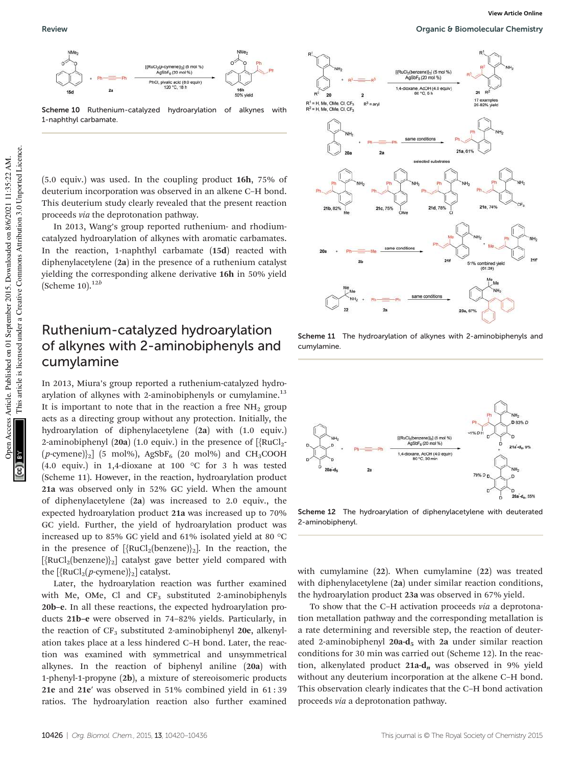

Scheme 10 Ruthenium-catalyzed hydroarylation of alkynes with 1-naphthyl carbamate.

(5.0 equiv.) was used. In the coupling product 16h, 75% of deuterium incorporation was observed in an alkene C–H bond. This deuterium study clearly revealed that the present reaction proceeds via the deprotonation pathway.

In 2013, Wang's group reported ruthenium- and rhodiumcatalyzed hydroarylation of alkynes with aromatic carbamates. In the reaction, 1-naphthyl carbamate (15d) reacted with diphenylacetylene (2a) in the presence of a ruthenium catalyst yielding the corresponding alkene derivative 16h in 50% yield (Scheme 10). $^{12b}$ 

#### Ruthenium-catalyzed hydroarylation of alkynes with 2-aminobiphenyls and cumylamine

In 2013, Miura's group reported a ruthenium-catalyzed hydroarylation of alkynes with 2-aminobiphenyls or cumylamine.<sup>13</sup> It is important to note that in the reaction a free  $NH<sub>2</sub>$  group acts as a directing group without any protection. Initially, the hydroarylation of diphenylacetylene (2a) with (1.0 equiv.) 2-aminobiphenyl (20a) (1.0 equiv.) in the presence of  $[\text{RuCl}_2$ - $(p\text{-cymene})\textsubscript{2}$ ] (5 mol%), AgSbF<sub>6</sub> (20 mol%) and CH<sub>3</sub>COOH (4.0 equiv.) in 1,4-dioxane at 100 °C for 3 h was tested (Scheme 11). However, in the reaction, hydroarylation product 21a was observed only in 52% GC yield. When the amount of diphenylacetylene (2a) was increased to 2.0 equiv., the expected hydroarylation product 21a was increased up to 70% GC yield. Further, the yield of hydroarylation product was increased up to 85% GC yield and 61% isolated yield at 80 °C in the presence of  $[\{RuCl_2(benzene)\}_2]$ . In the reaction, the  $[\text{RuCl}_2(\text{benzene})]_2]$  catalyst gave better yield compared with the  $[\{RuCl_2(p\text{-symene})\}_2]$  catalyst.

Later, the hydroarylation reaction was further examined with Me, OMe, Cl and  $CF<sub>3</sub>$  substituted 2-aminobiphenyls 20b–e. In all these reactions, the expected hydroarylation products 21b–e were observed in 74–82% yields. Particularly, in the reaction of  $CF_3$  substituted 2-aminobiphenyl 20e, alkenylation takes place at a less hindered C–H bond. Later, the reaction was examined with symmetrical and unsymmetrical alkynes. In the reaction of biphenyl aniline (20a) with 1-phenyl-1-propyne (2b), a mixture of stereoisomeric products 21e and 21e′ was observed in 51% combined yield in 61 : 39 ratios. The hydroarylation reaction also further examined



Scheme 11 The hydroarylation of alkynes with 2-aminobiphenyls and cumylamine.



Scheme 12 The hydroarylation of diphenylacetylene with deuterated 2-aminobiphenyl.

with cumylamine (22). When cumylamine (22) was treated with diphenylacetylene (2a) under similar reaction conditions, the hydroarylation product 23a was observed in 67% yield.

To show that the C–H activation proceeds via a deprotonation metallation pathway and the corresponding metallation is a rate determining and reversible step, the reaction of deuterated 2-aminobiphenyl  $20a-d_5$  with  $2a$  under similar reaction conditions for 30 min was carried out (Scheme 12). In the reaction, alkenylated product  $21a-d_n$  was observed in 9% yield without any deuterium incorporation at the alkene C–H bond. This observation clearly indicates that the C–H bond activation proceeds via a deprotonation pathway.

This article is licensed under a Creative Commons Attribution 3.0 Unported Licence.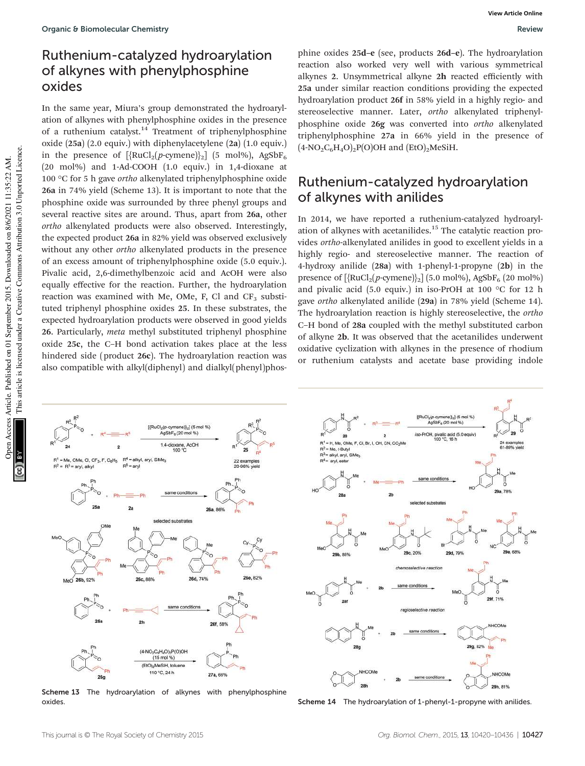## Ruthenium-catalyzed hydroarylation of alkynes with phenylphosphine oxides

In the same year, Miura's group demonstrated the hydroarylation of alkynes with phenylphosphine oxides in the presence of a ruthenium catalyst.<sup>14</sup> Treatment of triphenylphosphine oxide (25a) (2.0 equiv.) with diphenylacetylene (2a) (1.0 equiv.) in the presence of  $[\{RuCl_2(p\text{-cymene})\}_2]$  (5 mol%), AgSbF<sub>6</sub> (20 mol%) and 1-Ad-COOH (1.0 equiv.) in 1,4-dioxane at 100  $\rm{°C}$  for 5 h gave *ortho* alkenylated triphenylphosphine oxide 26a in 74% yield (Scheme 13). It is important to note that the phosphine oxide was surrounded by three phenyl groups and several reactive sites are around. Thus, apart from 26a, other ortho alkenylated products were also observed. Interestingly, the expected product 26a in 82% yield was observed exclusively without any other *ortho* alkenylated products in the presence of an excess amount of triphenylphosphine oxide (5.0 equiv.). Pivalic acid, 2,6-dimethylbenzoic acid and AcOH were also equally effective for the reaction. Further, the hydroarylation reaction was examined with Me, OMe, F, Cl and  $CF_3$  substituted triphenyl phosphine oxides 25. In these substrates, the expected hydroarylation products were observed in good yields 26. Particularly, meta methyl substituted triphenyl phosphine oxide 25c, the C–H bond activation takes place at the less hindered side (product 26c). The hydroarylation reaction was also compatible with alkyl(diphenyl) and dialkyl(phenyl)phosphine oxides 25d–e (see, products 26d–e). The hydroarylation reaction also worked very well with various symmetrical alkynes 2. Unsymmetrical alkyne 2h reacted efficiently with 25a under similar reaction conditions providing the expected hydroarylation product 26f in 58% yield in a highly regio- and stereoselective manner. Later, ortho alkenylated triphenylphosphine oxide 26g was converted into ortho alkenylated triphenylphosphine 27a in 66% yield in the presence of  $(4-NO_2C_6H_4O)_2P(O)OH$  and  $(EtO)_2MeSiH$ .

## Ruthenium-catalyzed hydroarylation of alkynes with anilides

In 2014, we have reported a ruthenium-catalyzed hydroarylation of alkynes with acetanilides.<sup>15</sup> The catalytic reaction provides ortho-alkenylated anilides in good to excellent yields in a highly regio- and stereoselective manner. The reaction of 4-hydroxy anilide (28a) with 1-phenyl-1-propyne (2b) in the presence of  $[\{RuCl_2(p\text{-cymene})\}_2]$  (5.0 mol%), AgSbF<sub>6</sub> (20 mol%) and pivalic acid (5.0 equiv.) in iso-PrOH at 100 °C for 12 h gave ortho alkenylated anilide (29a) in 78% yield (Scheme 14). The hydroarylation reaction is highly stereoselective, the ortho C–H bond of 28a coupled with the methyl substituted carbon of alkyne 2b. It was observed that the acetanilides underwent oxidative cyclization with alkynes in the presence of rhodium or ruthenium catalysts and acetate base providing indole



Scheme 13 The hydroarylation of alkynes with phenylphosphine



oxides. Scheme 14 The hydroarylation of 1-phenyl-1-propyne with anilides.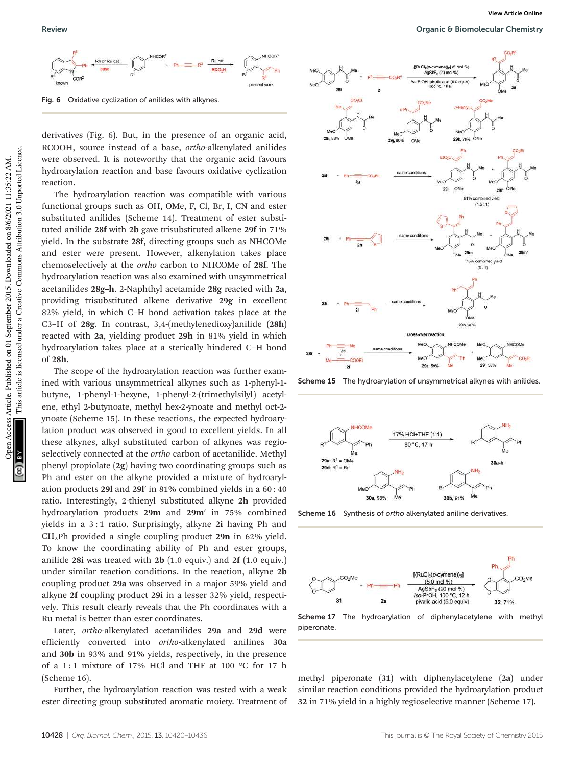Fig. 6 Oxidative cyclization of anilides with alkynes.

derivatives (Fig. 6). But, in the presence of an organic acid, RCOOH, source instead of a base, ortho-alkenylated anilides were observed. It is noteworthy that the organic acid favours hydroarylation reaction and base favours oxidative cyclization reaction.

The hydroarylation reaction was compatible with various functional groups such as OH, OMe, F, Cl, Br, I, CN and ester substituted anilides (Scheme 14). Treatment of ester substituted anilide 28f with 2b gave trisubstituted alkene 29f in 71% yield. In the substrate 28f, directing groups such as NHCOMe and ester were present. However, alkenylation takes place chemoselectively at the ortho carbon to NHCOMe of 28f. The hydroarylation reaction was also examined with unsymmetrical acetanilides 28g–h. 2-Naphthyl acetamide 28g reacted with 2a, providing trisubstituted alkene derivative 29g in excellent 82% yield, in which C–H bond activation takes place at the C3–H of 28g. In contrast, 3,4-(methylenedioxy)anilide (28h) reacted with 2a, yielding product 29h in 81% yield in which hydroarylation takes place at a sterically hindered C–H bond of 28h.

The scope of the hydroarylation reaction was further examined with various unsymmetrical alkynes such as 1-phenyl-1 butyne, 1-phenyl-1-hexyne, 1-phenyl-2-(trimethylsilyl) acetylene, ethyl 2-butynoate, methyl hex-2-ynoate and methyl oct-2 ynoate (Scheme 15). In these reactions, the expected hydroarylation product was observed in good to excellent yields. In all these alkynes, alkyl substituted carbon of alkynes was regioselectively connected at the ortho carbon of acetanilide. Methyl phenyl propiolate (2g) having two coordinating groups such as Ph and ester on the alkyne provided a mixture of hydroarylation products 29l and 29l′ in 81% combined yields in a 60 : 40 ratio. Interestingly, 2-thienyl substituted alkyne 2h provided hydroarylation products 29m and 29m′ in 75% combined yields in a 3:1 ratio. Surprisingly, alkyne 2i having Ph and CH2Ph provided a single coupling product 29n in 62% yield. To know the coordinating ability of Ph and ester groups, anilide 28i was treated with 2b (1.0 equiv.) and 2f (1.0 equiv.) under similar reaction conditions. In the reaction, alkyne 2b coupling product 29a was observed in a major 59% yield and alkyne 2f coupling product 29i in a lesser 32% yield, respectively. This result clearly reveals that the Ph coordinates with a Ru metal is better than ester coordinates.

Later, ortho-alkenylated acetanilides 29a and 29d were efficiently converted into ortho-alkenylated anilines 30a and 30b in 93% and 91% yields, respectively, in the presence of a 1:1 mixture of 17% HCl and THF at 100  $\degree$ C for 17 h (Scheme 16).

Further, the hydroarylation reaction was tested with a weak ester directing group substituted aromatic moiety. Treatment of



Scheme 15 The hydroarylation of unsymmetrical alkynes with anilides.



Scheme 16 Synthesis of ortho alkenylated aniline derivatives.



Scheme 17 The hydroarylation of diphenylacetylene with methyl piperonate.

methyl piperonate (31) with diphenylacetylene (2a) under similar reaction conditions provided the hydroarylation product 32 in 71% yield in a highly regioselective manner (Scheme 17).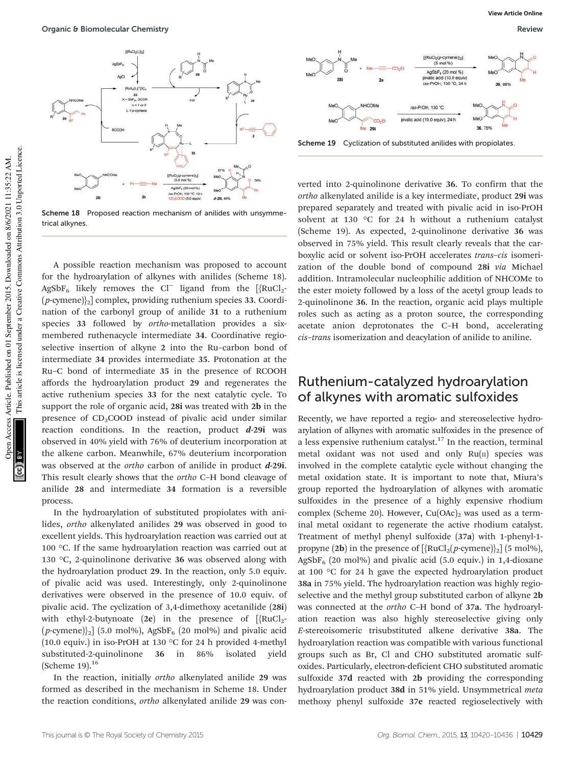

Scheme 18 Proposed reaction mechanism of anilides with unsymmetrical alkynes.

This article is licensed under a Creative Commons Attribution 3.0 Unported Licence. This article is licensed under a Creative Commons Attribution 3.0 Unported Licence. Open Access Article. Published on 01 September 2015. Downloaded on 8/6/2021 11:35:22 AM. pen Access Article. Published on 01 September 2015. Downloaded on 8/6/2021 11:35:22 AM.

A possible reaction mechanism was proposed to account for the hydroarylation of alkynes with anilides (Scheme 18).  $\text{AgSbF}_6$  likely removes the Cl<sup>−</sup> ligand from the [{RuCl<sub>2</sub>- $(p$ -cymene) $\frac{1}{2}$  complex, providing ruthenium species 33. Coordination of the carbonyl group of anilide 31 to a ruthenium species 33 followed by ortho-metallation provides a sixmembered ruthenacycle intermediate 34. Coordinative regioselective insertion of alkyne 2 into the Ru–carbon bond of intermediate 34 provides intermediate 35. Protonation at the Ru–C bond of intermediate 35 in the presence of RCOOH affords the hydroarylation product 29 and regenerates the active ruthenium species 33 for the next catalytic cycle. To support the role of organic acid, 28i was treated with 2b in the presence of CD<sub>3</sub>COOD instead of pivalic acid under similar reaction conditions. In the reaction, product  $d-29i$  was observed in 40% yield with 76% of deuterium incorporation at the alkene carbon. Meanwhile, 67% deuterium incorporation was observed at the *ortho* carbon of anilide in product  $d$ -29i. This result clearly shows that the ortho C–H bond cleavage of anilide 28 and intermediate 34 formation is a reversible process.

In the hydroarylation of substituted propiolates with anilides, ortho alkenylated anilides 29 was observed in good to excellent yields. This hydroarylation reaction was carried out at 100 °C. If the same hydroarylation reaction was carried out at 130 °C, 2-quinolinone derivative 36 was observed along with the hydroarylation product 29. In the reaction, only 5.0 equiv. of pivalic acid was used. Interestingly, only 2-quinolinone derivatives were observed in the presence of 10.0 equiv. of pivalic acid. The cyclization of 3,4-dimethoxy acetanilide (28i) with ethyl-2-butynoate (2e) in the presence of  $[\text{RuCl}_2$ - $(p$ -cymene) $\frac{1}{2}$  (5.0 mol%), AgSbF<sub>6</sub> (20 mol%) and pivalic acid (10.0 equiv.) in iso-PrOH at 130 °C for 24 h provided 4-methyl substituted-2-quinolinone 36 in 86% isolated yield (Scheme 19).<sup>16</sup>

In the reaction, initially ortho alkenylated anilide 29 was formed as described in the mechanism in Scheme 18. Under the reaction conditions, ortho alkenylated anilide 29 was con-



Scheme 19 Cyclization of substituted anilides with propiolates.

verted into 2-quinolinone derivative 36. To confirm that the ortho alkenylated anilide is a key intermediate, product 29i was prepared separately and treated with pivalic acid in iso-PrOH solvent at 130 °C for 24 h without a ruthenium catalyst (Scheme 19). As expected, 2-quinolinone derivative 36 was observed in 75% yield. This result clearly reveals that the carboxylic acid or solvent iso-PrOH accelerates trans–cis isomerization of the double bond of compound 28i via Michael addition. Intramolecular nucleophilic addition of NHCOMe to the ester moiety followed by a loss of the acetyl group leads to 2-quinolinone 36. In the reaction, organic acid plays multiple roles such as acting as a proton source, the corresponding acetate anion deprotonates the C–H bond, accelerating cis–trans isomerization and deacylation of anilide to aniline.

#### Ruthenium-catalyzed hydroarylation of alkynes with aromatic sulfoxides

Recently, we have reported a regio- and stereoselective hydroarylation of alkynes with aromatic sulfoxides in the presence of a less expensive ruthenium catalyst.<sup>17</sup> In the reaction, terminal metal oxidant was not used and only  $Ru(n)$  species was involved in the complete catalytic cycle without changing the metal oxidation state. It is important to note that, Miura's group reported the hydroarylation of alkynes with aromatic sulfoxides in the presence of a highly expensive rhodium complex (Scheme 20). However,  $Cu(OAc)_2$  was used as a terminal metal oxidant to regenerate the active rhodium catalyst. Treatment of methyl phenyl sulfoxide (37a) with 1-phenyl-1 propyne (2b) in the presence of  $[\{RuCl_2(p\text{-symene})\}_2]$  (5 mol%),  $AgSbF<sub>6</sub>$  (20 mol%) and pivalic acid (5.0 equiv.) in 1,4-dioxane at 100 °C for 24 h gave the expected hydroarylation product 38a in 75% yield. The hydroarylation reaction was highly regioselective and the methyl group substituted carbon of alkyne 2b was connected at the ortho C–H bond of 37a. The hydroarylation reaction was also highly stereoselective giving only E-stereoisomeric trisubstituted alkene derivative 38a. The hydroarylation reaction was compatible with various functional groups such as Br, Cl and CHO substituted aromatic sulfoxides. Particularly, electron-deficient CHO substituted aromatic sulfoxide 37d reacted with 2b providing the corresponding hydroarylation product 38d in 51% yield. Unsymmetrical meta methoxy phenyl sulfoxide 37e reacted regioselectively with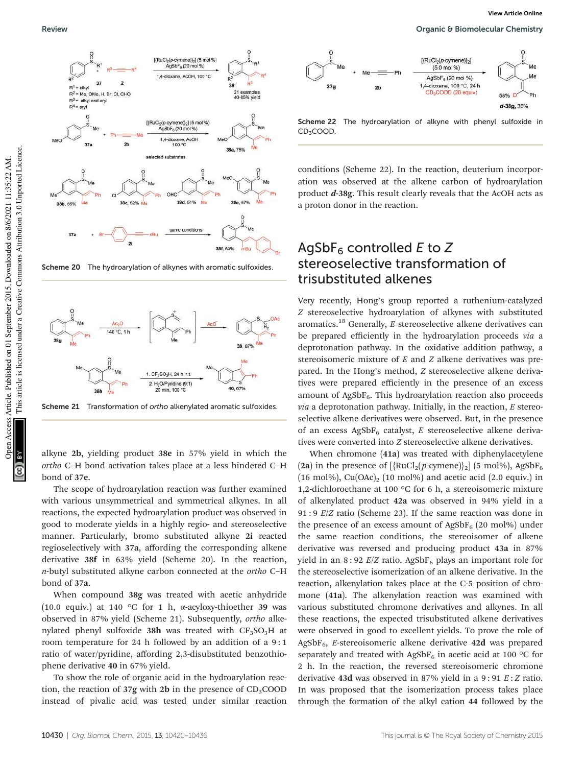

Scheme 20 The hydroarylation of alkynes with aromatic sulfoxides



Scheme 21 Transformation of ortho alkenylated aromatic sulfoxides.

alkyne 2b, yielding product 38e in 57% yield in which the ortho C–H bond activation takes place at a less hindered C–H bond of 37e.

The scope of hydroarylation reaction was further examined with various unsymmetrical and symmetrical alkynes. In all reactions, the expected hydroarylation product was observed in good to moderate yields in a highly regio- and stereoselective manner. Particularly, bromo substituted alkyne 2i reacted regioselectively with 37a, affording the corresponding alkene derivative 38f in 63% yield (Scheme 20). In the reaction, n-butyl substituted alkyne carbon connected at the ortho C–H bond of 37a.

When compound 38g was treated with acetic anhydride (10.0 equiv.) at 140 °C for 1 h,  $\alpha$ -acyloxy-thioether 39 was observed in 87% yield (Scheme 21). Subsequently, ortho alkenylated phenyl sulfoxide 38h was treated with  $CF_3SO_3H$  at room temperature for 24 h followed by an addition of a 9 : 1 ratio of water/pyridine, affording 2,3-disubstituted benzothiophene derivative 40 in 67% yield.

To show the role of organic acid in the hydroarylation reaction, the reaction of  $37g$  with 2b in the presence of  $CD_3COOD$ instead of pivalic acid was tested under similar reaction



Scheme 22 The hydroarylation of alkyne with phenyl sulfoxide in CD<sub>3</sub>COOD.

conditions (Scheme 22). In the reaction, deuterium incorporation was observed at the alkene carbon of hydroarylation product d-38g. This result clearly reveals that the AcOH acts as a proton donor in the reaction.

#### AgSbF<sub>6</sub> controlled E to Z stereoselective transformation of trisubstituted alkenes

Very recently, Hong's group reported a ruthenium-catalyzed Z stereoselective hydroarylation of alkynes with substituted aromatics.<sup>18</sup> Generally,  $E$  stereoselective alkene derivatives can be prepared efficiently in the hydroarylation proceeds via a deprotonation pathway. In the oxidative addition pathway, a stereoisomeric mixture of  $E$  and  $Z$  alkene derivatives was prepared. In the Hong's method, Z stereoselective alkene derivatives were prepared efficiently in the presence of an excess amount of  $AgSbF<sub>6</sub>$ . This hydroarylation reaction also proceeds  $via$  a deprotonation pathway. Initially, in the reaction,  $E$  stereoselective alkene derivatives were observed. But, in the presence of an excess  $AgSbF_6$  catalyst, E stereoselective alkene derivatives were converted into Z stereoselective alkene derivatives.

When chromone (41a) was treated with diphenylacetylene (2a) in the presence of  $[\{RuCl_2(p\text{-symene})\}_2]$  (5 mol%), AgSbF<sub>6</sub> (16 mol%),  $Cu(OAc)_{2}$  (10 mol%) and acetic acid (2.0 equiv.) in 1,2-dichloroethane at 100 °C for 6 h, a stereoisomeric mixture of alkenylated product 42a was observed in 94% yield in a 91 : 9 E/Z ratio (Scheme 23). If the same reaction was done in the presence of an excess amount of  $AgSbF_6$  (20 mol%) under the same reaction conditions, the stereoisomer of alkene derivative was reversed and producing product 43a in 87% yield in an  $8:92 E/Z$  ratio. AgSbF<sub>6</sub> plays an important role for the stereoselective isomerization of an alkene derivative. In the reaction, alkenylation takes place at the C-5 position of chromone (41a). The alkenylation reaction was examined with various substituted chromone derivatives and alkynes. In all these reactions, the expected trisubstituted alkene derivatives were observed in good to excellent yields. To prove the role of  $AgSbF<sub>6</sub>$ , E-stereoisomeric alkene derivative 42d was prepared separately and treated with AgSbF<sub>6</sub> in acetic acid at 100 °C for 2 h. In the reaction, the reversed stereoisomeric chromone derivative 43d was observed in 87% yield in a 9:91  $E:Z$  ratio. In was proposed that the isomerization process takes place through the formation of the alkyl cation 44 followed by the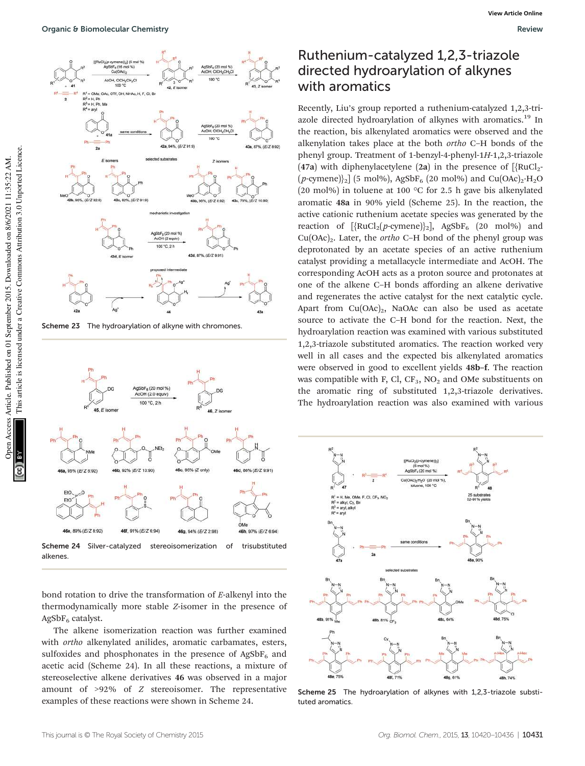

Scheme 23 The hydroarylation of alkyne with chromones.



bond rotation to drive the transformation of E-alkenyl into the thermodynamically more stable Z-isomer in the presence of  $AgSbF<sub>6</sub>$  catalyst.

The alkene isomerization reaction was further examined with ortho alkenylated anilides, aromatic carbamates, esters, sulfoxides and phosphonates in the presence of  $AgSbF_6$  and acetic acid (Scheme 24). In all these reactions, a mixture of stereoselective alkene derivatives 46 was observed in a major amount of >92% of Z stereoisomer. The representative examples of these reactions were shown in Scheme 24.

#### Ruthenium-catalyzed 1,2,3-triazole directed hydroarylation of alkynes with aromatics

Recently, Liu's group reported a ruthenium-catalyzed 1,2,3-triazole directed hydroarylation of alkynes with aromatics.<sup>19</sup> In the reaction, bis alkenylated aromatics were observed and the alkenylation takes place at the both ortho C–H bonds of the phenyl group. Treatment of 1-benzyl-4-phenyl-1H-1,2,3-triazole (47a) with diphenylacetylene (2a) in the presence of  $[\text{RuCl}_2$ - $(p\text{-cymene})\textsubscript{2}]$  (5 mol%), AgSbF<sub>6</sub> (20 mol%) and Cu(OAc)<sub>2</sub>·H<sub>2</sub>O (20 mol%) in toluene at 100 °C for 2.5 h gave bis alkenylated aromatic 48a in 90% yield (Scheme 25). In the reaction, the active cationic ruthenium acetate species was generated by the reaction of  $[\text{RuCl}_2(p\text{-cymene})]_2]$ , AgSbF<sub>6</sub> (20 mol%) and  $Cu(OAc)<sub>2</sub>$ . Later, the *ortho* C–H bond of the phenyl group was deprotonated by an acetate species of an active ruthenium catalyst providing a metallacycle intermediate and AcOH. The corresponding AcOH acts as a proton source and protonates at one of the alkene C–H bonds affording an alkene derivative and regenerates the active catalyst for the next catalytic cycle. Apart from  $Cu(OAc)<sub>2</sub>$ , NaOAc can also be used as acetate source to activate the C–H bond for the reaction. Next, the hydroarylation reaction was examined with various substituted 1,2,3-triazole substituted aromatics. The reaction worked very well in all cases and the expected bis alkenylated aromatics were observed in good to excellent yields 48b–f. The reaction was compatible with F, Cl,  $CF_3$ , NO<sub>2</sub> and OMe substituents on the aromatic ring of substituted 1,2,3-triazole derivatives. The hydroarylation reaction was also examined with various



Scheme 25 The hydroarylation of alkynes with 1,2,3-triazole substituted aromatics.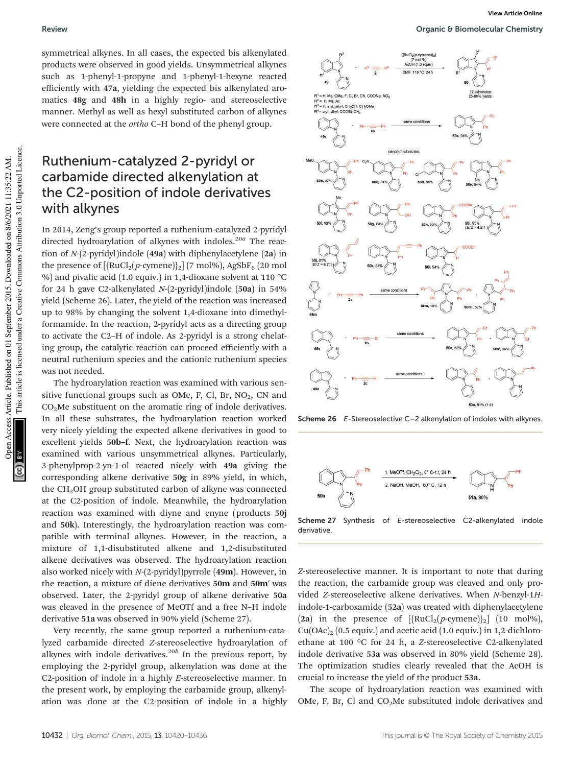symmetrical alkynes. In all cases, the expected bis alkenylated products were observed in good yields. Unsymmetrical alkynes such as 1-phenyl-1-propyne and 1-phenyl-1-hexyne reacted efficiently with 47a, yielding the expected bis alkenylated aromatics 48g and 48h in a highly regio- and stereoselective manner. Methyl as well as hexyl substituted carbon of alkynes were connected at the ortho C–H bond of the phenyl group.

#### Ruthenium-catalyzed 2-pyridyl or carbamide directed alkenylation at the C2-position of indole derivatives with alkynes

In 2014, Zeng's group reported a ruthenium-catalyzed 2-pyridyl directed hydroarylation of alkynes with indoles. $^{20a}$  The reaction of N-(2-pyridyl)indole (49a) with diphenylacetylene (2a) in the presence of  $[\{RuCl_2(p\text{-cymene})\}_2]$  (7 mol%), AgSbF<sub>6</sub> (20 mol %) and pivalic acid (1.0 equiv.) in 1,4-dioxane solvent at 110 °C for 24 h gave C2-alkenylated N-(2-pyridyl)indole (50a) in 54% yield (Scheme 26). Later, the yield of the reaction was increased up to 98% by changing the solvent 1,4-dioxane into dimethylformamide. In the reaction, 2-pyridyl acts as a directing group to activate the C2–H of indole. As 2-pyridyl is a strong chelating group, the catalytic reaction can proceed efficiently with a neutral ruthenium species and the cationic ruthenium species was not needed.

The hydroarylation reaction was examined with various sensitive functional groups such as OMe, F, Cl, Br,  $NO<sub>2</sub>$ , CN and  $CO<sub>2</sub>$ Me substituent on the aromatic ring of indole derivatives. In all these substrates, the hydroarylation reaction worked very nicely yielding the expected alkene derivatives in good to excellent yields 50b–f. Next, the hydroarylation reaction was examined with various unsymmetrical alkynes. Particularly, 3-phenylprop-2-yn-1-ol reacted nicely with 49a giving the corresponding alkene derivative 50g in 89% yield, in which, the CH<sub>2</sub>OH group substituted carbon of alkyne was connected at the C2-position of indole. Meanwhile, the hydroarylation reaction was examined with diyne and enyne (products 50j and 50k). Interestingly, the hydroarylation reaction was compatible with terminal alkynes. However, in the reaction, a mixture of 1,1-disubstituted alkene and 1,2-disubstituted alkene derivatives was observed. The hydroarylation reaction also worked nicely with  $N-(2-pvridyl)pvrrole$  (49m). However, in the reaction, a mixture of diene derivatives 50m and 50m′ was observed. Later, the 2-pyridyl group of alkene derivative 50a was cleaved in the presence of MeOTf and a free N–H indole derivative 51a was observed in 90% yield (Scheme 27).

Very recently, the same group reported a ruthenium-catalyzed carbamide directed Z-stereoselective hydroarylation of alkynes with indole derivatives. $^{20b}$  In the previous report, by employing the 2-pyridyl group, alkenylation was done at the C2-position of indole in a highly E-stereoselective manner. In the present work, by employing the carbamide group, alkenylation was done at the C2-position of indole in a highly

#### Review Organic & Biomolecular Chemistry



Scheme 26 E-Stereoselective C-2 alkenylation of indoles with alkynes.





Z-stereoselective manner. It is important to note that during the reaction, the carbamide group was cleaved and only provided Z-stereoselective alkene derivatives. When N-benzyl-1Hindole-1-carboxamide (52a) was treated with diphenylacetylene (2a) in the presence of  $[\{RuCl_2(p\text{-symene})\}_2]$  (10 mol%),  $Cu(OAc)<sub>2</sub>$  (0.5 equiv.) and acetic acid (1.0 equiv.) in 1,2-dichloroethane at 100 °C for 24 h, a Z-stereoselective C2-alkenylated indole derivative 53a was observed in 80% yield (Scheme 28). The optimization studies clearly revealed that the AcOH is crucial to increase the yield of the product 53a.

The scope of hydroarylation reaction was examined with OMe, F, Br, Cl and  $CO<sub>2</sub>$ Me substituted indole derivatives and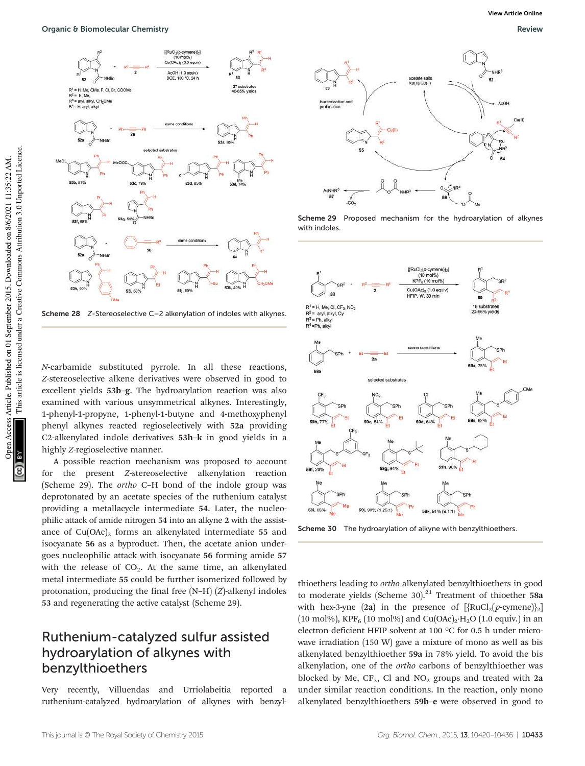

Scheme 28 Z-Stereoselective C–2 alkenylation of indoles with alkynes.

N-carbamide substituted pyrrole. In all these reactions, Z-stereoselective alkene derivatives were observed in good to excellent yields 53b–g. The hydroarylation reaction was also examined with various unsymmetrical alkynes. Interestingly, 1-phenyl-1-propyne, 1-phenyl-1-butyne and 4-methoxyphenyl phenyl alkynes reacted regioselectively with 52a providing C2-alkenylated indole derivatives 53h–k in good yields in a highly Z-regioselective manner.

A possible reaction mechanism was proposed to account for the present Z-stereoselective alkenylation reaction (Scheme 29). The ortho C–H bond of the indole group was deprotonated by an acetate species of the ruthenium catalyst providing a metallacycle intermediate 54. Later, the nucleophilic attack of amide nitrogen 54 into an alkyne 2 with the assistance of  $Cu(OAc)_2$  forms an alkenylated intermediate 55 and isocyanate 56 as a byproduct. Then, the acetate anion undergoes nucleophilic attack with isocyanate 56 forming amide 57 with the release of  $CO<sub>2</sub>$ . At the same time, an alkenylated metal intermediate 55 could be further isomerized followed by protonation, producing the final free (N–H) (Z)-alkenyl indoles 53 and regenerating the active catalyst (Scheme 29).

#### Ruthenium-catalyzed sulfur assisted hydroarylation of alkynes with benzylthioethers

Very recently, Villuendas and Urriolabeitia reported a ruthenium-catalyzed hydroarylation of alkynes with benzyl-



Scheme 29 Proposed mechanism for the hydroarylation of alkynes with indoles



Scheme 30 The hydroarylation of alkyne with benzylthioethers.

thioethers leading to ortho alkenylated benzylthioethers in good to moderate yields (Scheme 30). $^{21}$  Treatment of thioether 58a with hex-3-yne (2a) in the presence of  $[\text{RuCl}_2(p\text{-symene})]_2]$ (10 mol%), KPF<sub>6</sub> (10 mol%) and Cu(OAc)<sub>2</sub>·H<sub>2</sub>O (1.0 equiv.) in an electron deficient HFIP solvent at 100 °C for 0.5 h under microwave irradiation (150 W) gave a mixture of mono as well as bis alkenylated benzylthioether 59a in 78% yield. To avoid the bis alkenylation, one of the ortho carbons of benzylthioether was blocked by Me,  $CF_3$ , Cl and NO<sub>2</sub> groups and treated with 2a under similar reaction conditions. In the reaction, only mono alkenylated benzylthioethers 59b–e were observed in good to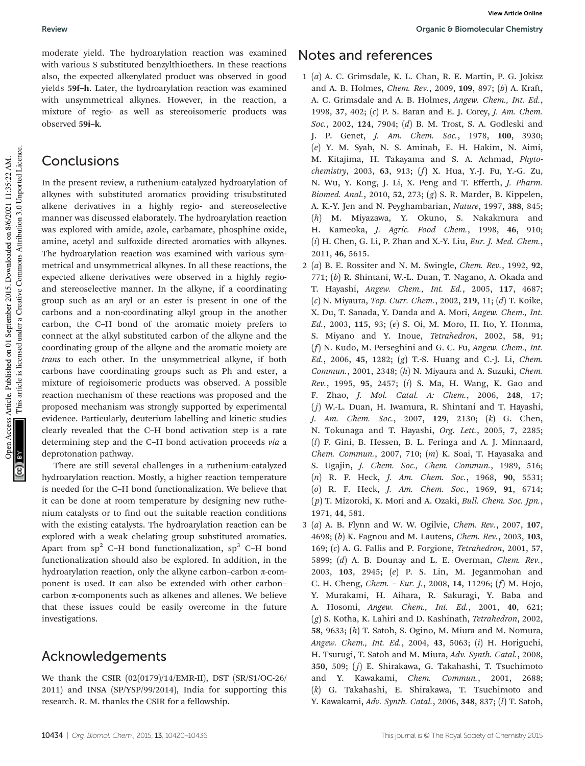moderate yield. The hydroarylation reaction was examined with various S substituted benzylthioethers. In these reactions also, the expected alkenylated product was observed in good yields 59f–h. Later, the hydroarylation reaction was examined with unsymmetrical alkynes. However, in the reaction, a mixture of regio- as well as stereoisomeric products was observed 59i–k.

#### **Conclusions**

In the present review, a ruthenium-catalyzed hydroarylation of alkynes with substituted aromatics providing trisubstituted alkene derivatives in a highly regio- and stereoselective manner was discussed elaborately. The hydroarylation reaction was explored with amide, azole, carbamate, phosphine oxide, amine, acetyl and sulfoxide directed aromatics with alkynes. The hydroarylation reaction was examined with various symmetrical and unsymmetrical alkynes. In all these reactions, the expected alkene derivatives were observed in a highly regioand stereoselective manner. In the alkyne, if a coordinating group such as an aryl or an ester is present in one of the carbons and a non-coordinating alkyl group in the another carbon, the C–H bond of the aromatic moiety prefers to connect at the alkyl substituted carbon of the alkyne and the coordinating group of the alkyne and the aromatic moiety are trans to each other. In the unsymmetrical alkyne, if both carbons have coordinating groups such as Ph and ester, a mixture of regioisomeric products was observed. A possible reaction mechanism of these reactions was proposed and the proposed mechanism was strongly supported by experimental evidence. Particularly, deuterium labelling and kinetic studies clearly revealed that the C–H bond activation step is a rate determining step and the C–H bond activation proceeds via a deprotonation pathway.

There are still several challenges in a ruthenium-catalyzed hydroarylation reaction. Mostly, a higher reaction temperature is needed for the C–H bond functionalization. We believe that it can be done at room temperature by designing new ruthenium catalysts or to find out the suitable reaction conditions with the existing catalysts. The hydroarylation reaction can be explored with a weak chelating group substituted aromatics. Apart from  $sp^2$  C–H bond functionalization,  $sp^3$  C–H bond functionalization should also be explored. In addition, in the hydroarylation reaction, only the alkyne carbon–carbon  $\pi$ -component is used. It can also be extended with other carbon– carbon π-components such as alkenes and allenes. We believe that these issues could be easily overcome in the future investigations.

#### Acknowledgements

We thank the CSIR (02(0179)/14/EMR-II), DST (SR/S1/OC-26/ 2011) and INSA (SP/YSP/99/2014), India for supporting this research. R. M. thanks the CSIR for a fellowship.

#### Notes and references

- 1 (a) A. C. Grimsdale, K. L. Chan, R. E. Martin, P. G. Jokisz and A. B. Holmes, Chem. Rev., 2009, 109, 897; (b) A. Kraft, A. C. Grimsdale and A. B. Holmes, Angew. Chem., Int. Ed., 1998, 37, 402; (c) P. S. Baran and E. J. Corey, J. Am. Chem. Soc., 2002, 124, 7904; (d) B. M. Trost, S. A. Godleski and J. P. Genet, *J. Am. Chem. Soc.*, 1978, 100, 3930; (e) Y. M. Syah, N. S. Aminah, E. H. Hakim, N. Aimi, M. Kitajima, H. Takayama and S. A. Achmad, Phytochemistry, 2003, 63, 913; (f) X. Hua, Y.-J. Fu, Y.-G. Zu, N. Wu, Y. Kong, J. Li, X. Peng and T. Efferth, J. Pharm. Biomed. Anal., 2010, 52, 273; (g) S. R. Marder, B. Kippelen, A. K.-Y. Jen and N. Peyghambarian, Nature, 1997, 388, 845; (h) M. Miyazawa, Y. Okuno, S. Nakakmura and H. Kameoka, J. Agric. Food Chem., 1998, 46, 910;  $(i)$  H. Chen, G. Li, P. Zhan and X.-Y. Liu, *Eur. J. Med. Chem.*, 2011, 46, 5615.
- 2 (a) B. E. Rossiter and N. M. Swingle, Chem. Rev., 1992, 92, 771; (b) R. Shintani, W.-L. Duan, T. Nagano, A. Okada and T. Hayashi, Angew. Chem., Int. Ed., 2005, 117, 4687; (c) N. Miyaura, Top. Curr. Chem., 2002, 219, 11; (d) T. Koike, X. Du, T. Sanada, Y. Danda and A. Mori, Angew. Chem., Int. Ed., 2003, 115, 93; (e) S. Oi, M. Moro, H. Ito, Y. Honma, S. Miyano and Y. Inoue, Tetrahedron, 2002, 58, 91; (f) N. Kudo, M. Perseghini and G. C. Fu, Angew. Chem., Int. Ed., 2006, 45, 1282; (g) T.-S. Huang and C.-J. Li, Chem.  $Common, 2001, 2348; (h)$  N. Miyaura and A. Suzuki, *Chem.* Rev., 1995, 95, 2457; (i) S. Ma, H. Wang, K. Gao and F. Zhao, J. Mol. Catal. A: Chem., 2006, 248, 17;  $(j)$  W.-L. Duan, H. Iwamura, R. Shintani and T. Hayashi, J. Am. Chem. Soc., 2007, 129, 2130; (k) G. Chen, N. Tokunaga and T. Hayashi, Org. Lett., 2005, 7, 2285; (l) F. Gini, B. Hessen, B. L. Feringa and A. J. Minnaard, Chem. Commun., 2007, 710;  $(m)$  K. Soai, T. Hayasaka and S. Ugajin, J. Chem. Soc., Chem. Commun., 1989, 516; (n) R. F. Heck, J. Am. Chem. Soc., 1968, 90, 5531; (o) R. F. Heck, J. Am. Chem. Soc., 1969, 91, 6714; (p) T. Mizoroki, K. Mori and A. Ozaki, Bull. Chem. Soc. Jpn., 1971, 44, 581.
- 3 (a) A. B. Flynn and W. W. Ogilvie, Chem. Rev., 2007, 107, 4698; (b) K. Fagnou and M. Lautens, Chem. Rev., 2003, 103, 169; (c) A. G. Fallis and P. Forgione, Tetrahedron, 2001, 57, 5899; (d) A. B. Dounay and L. E. Overman, Chem. Rev., 2003, 103, 2945; (e) P. S. Lin, M. Jeganmohan and C. H. Cheng, Chem. – Eur. J., 2008, 14, 11296; (f) M. Hojo, Y. Murakami, H. Aihara, R. Sakuragi, Y. Baba and A. Hosomi, Angew. Chem., Int. Ed., 2001, 40, 621; (g) S. Kotha, K. Lahiri and D. Kashinath, Tetrahedron, 2002, 58, 9633; (h) T. Satoh, S. Ogino, M. Miura and M. Nomura, Angew. Chem., Int. Ed., 2004, 43, 5063; (i) H. Horiguchi, H. Tsurugi, T. Satoh and M. Miura, Adv. Synth. Catal., 2008, 350, 509; (j) E. Shirakawa, G. Takahashi, T. Tsuchimoto and Y. Kawakami, Chem. Commun., 2001, 2688; (k) G. Takahashi, E. Shirakawa, T. Tsuchimoto and Y. Kawakami, Adv. Synth. Catal., 2006, 348, 837; (l) T. Satoh,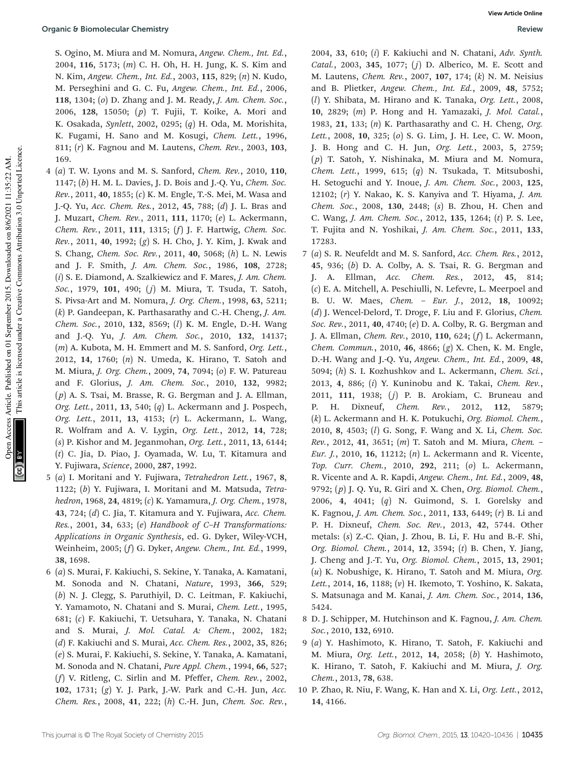S. Ogino, M. Miura and M. Nomura, Angew. Chem., Int. Ed., 2004, 116, 5173; (m) C. H. Oh, H. H. Jung, K. S. Kim and N. Kim, Angew. Chem., Int. Ed., 2003, 115, 829; (n) N. Kudo, M. Perseghini and G. C. Fu, Angew. Chem., Int. Ed., 2006, 118, 1304; (o) D. Zhang and J. M. Ready, J. Am. Chem. Soc., 2006, 128, 15050; (p) T. Fujii, T. Koike, A. Mori and K. Osakada, Synlett, 2002, 0295; (q) H. Oda, M. Morishita, K. Fugami, H. Sano and M. Kosugi, Chem. Lett., 1996, 811; (r) K. Fagnou and M. Lautens, Chem. Rev., 2003, 103, 169.

- 4 (a) T. W. Lyons and M. S. Sanford, Chem. Rev., 2010, 110, 1147; (b) H. M. L. Davies, J. D. Bois and J.-Q. Yu, Chem. Soc. Rev., 2011, 40, 1855; (c) K. M. Engle, T.-S. Mei, M. Wasa and J.-Q. Yu, Acc. Chem. Res., 2012, 45, 788; (d) J. L. Bras and J. Muzart, Chem. Rev., 2011, 111, 1170; (e) L. Ackermann, Chem. Rev., 2011, 111, 1315; (f) J. F. Hartwig, Chem. Soc. Rev., 2011, 40, 1992; (g) S. H. Cho, J. Y. Kim, J. Kwak and S. Chang, Chem. Soc. Rev., 2011, 40, 5068; (h) L. N. Lewis and J. F. Smith, J. Am. Chem. Soc., 1986, 108, 2728; (i) S. E. Diamond, A. Szalkiewicz and F. Mares, J. Am. Chem. Soc., 1979, 101, 490; (j) M. Miura, T. Tsuda, T. Satoh, S. Pivsa-Art and M. Nomura, J. Org. Chem., 1998, 63, 5211;  $(k)$  P. Gandeepan, K. Parthasarathy and C.-H. Cheng, *J. Am.* Chem. Soc., 2010, 132, 8569; (l) K. M. Engle, D.-H. Wang and J.-Q. Yu, J. Am. Chem. Soc., 2010, 132, 14137; (m) A. Kubota, M. H. Emmert and M. S. Sanford, Org. Lett., 2012, 14, 1760; (n) N. Umeda, K. Hirano, T. Satoh and M. Miura, J. Org. Chem., 2009, 74, 7094; (o) F. W. Patureau and F. Glorius, J. Am. Chem. Soc., 2010, 132, 9982; (p) A. S. Tsai, M. Brasse, R. G. Bergman and J. A. Ellman, Org. Lett., 2011, 13, 540; (q) L. Ackermann and J. Pospech, Org. Lett., 2011, 13, 4153; (r) L. Ackermann, L. Wang, R. Wolfram and A. V. Lygin, Org. Lett., 2012, 14, 728; (s) P. Kishor and M. Jeganmohan, Org. Lett., 2011, 13, 6144; (t) C. Jia, D. Piao, J. Oyamada, W. Lu, T. Kitamura and Y. Fujiwara, Science, 2000, 287, 1992.
- 5 (a) I. Moritani and Y. Fujiwara, Tetrahedron Lett., 1967, 8, 1122; (b) Y. Fujiwara, I. Moritani and M. Matsuda, Tetrahedron, 1968, 24, 4819; (c) K. Yamamura, J. Org. Chem., 1978, 43, 724; (d) C. Jia, T. Kitamura and Y. Fujiwara, Acc. Chem. Res., 2001, 34, 633; (e) Handbook of C–H Transformations: Applications in Organic Synthesis, ed. G. Dyker, Wiley-VCH, Weinheim, 2005; (f) G. Dyker, Angew. Chem., Int. Ed., 1999, 38, 1698.
- 6 (a) S. Murai, F. Kakiuchi, S. Sekine, Y. Tanaka, A. Kamatani, M. Sonoda and N. Chatani, Nature, 1993, 366, 529; (b) N. J. Clegg, S. Paruthiyil, D. C. Leitman, F. Kakiuchi, Y. Yamamoto, N. Chatani and S. Murai, Chem. Lett., 1995, 681; (c) F. Kakiuchi, T. Uetsuhara, Y. Tanaka, N. Chatani and S. Murai, J. Mol. Catal. A: Chem., 2002, 182; (d) F. Kakiuchi and S. Murai, Acc. Chem. Res., 2002, 35, 826; (e) S. Murai, F. Kakiuchi, S. Sekine, Y. Tanaka, A. Kamatani, M. Sonoda and N. Chatani, Pure Appl. Chem., 1994, 66, 527; (f) V. Ritleng, C. Sirlin and M. Pfeffer, Chem. Rev., 2002, 102, 1731; (g) Y. J. Park, J.-W. Park and C.-H. Jun, Acc. Chem. Res., 2008, 41, 222; (h) C.-H. Jun, Chem. Soc. Rev.,

2004, 33, 610;  $(i)$  F. Kakiuchi and N. Chatani, Adv. Synth. Catal., 2003, 345, 1077; (j) D. Alberico, M. E. Scott and M. Lautens, Chem. Rev., 2007, 107, 174; (k) N. M. Neisius and B. Plietker, Angew. Chem., Int. Ed., 2009, 48, 5752; (l) Y. Shibata, M. Hirano and K. Tanaka, Org. Lett., 2008, 10, 2829; (m) P. Hong and H. Yamazaki, J. Mol. Catal., 1983, 21, 133; (n) K. Parthasarathy and C. H. Cheng, Org. Lett., 2008, 10, 325; (o) S. G. Lim, J. H. Lee, C. W. Moon, J. B. Hong and C. H. Jun, Org. Lett., 2003, 5, 2759; (p) T. Satoh, Y. Nishinaka, M. Miura and M. Nomura, Chem. Lett., 1999, 615; (q) N. Tsukada, T. Mitsuboshi, H. Setoguchi and Y. Inoue, J. Am. Chem. Soc., 2003, 125, 12102; (r) Y. Nakao, K. S. Kanyiva and T. Hiyama, J. Am. Chem. Soc., 2008, 130, 2448; (s) B. Zhou, H. Chen and C. Wang, J. Am. Chem. Soc., 2012, 135, 1264; (t) P. S. Lee, T. Fujita and N. Yoshikai, J. Am. Chem. Soc., 2011, 133, 17283.

- 7 (a) S. R. Neufeldt and M. S. Sanford, Acc. Chem. Res., 2012, 45, 936; (b) D. A. Colby, A. S. Tsai, R. G. Bergman and J. A. Ellman, Acc. Chem. Res., 2012, 45, 814; (c) E. A. Mitchell, A. Peschiulli, N. Lefevre, L. Meerpoel and B. U. W. Maes, Chem. – Eur. J., 2012, 18, 10092; (d) J. Wencel-Delord, T. Droge, F. Liu and F. Glorius, Chem. Soc. Rev., 2011, 40, 4740; (e) D. A. Colby, R. G. Bergman and J. A. Ellman, Chem. Rev., 2010, 110, 624; (f) L. Ackermann, Chem. Commun., 2010, 46, 4866; (g) X. Chen, K. M. Engle, D.-H. Wang and J.-Q. Yu, Angew. Chem., Int. Ed., 2009, 48, 5094; (h) S. I. Kozhushkov and L. Ackermann, Chem. Sci., 2013, 4, 886; (i) Y. Kuninobu and K. Takai, Chem. Rev., 2011, 111, 1938; (j) P. B. Arokiam, C. Bruneau and P. H. Dixneuf, Chem. Rev., 2012, 112, 5879; (k) L. Ackermann and H. K. Potukuchi, Org. Biomol. Chem., 2010, 8, 4503; (l) G. Song, F. Wang and X. Li, Chem. Soc. Rev., 2012, 41, 3651; (m) T. Satoh and M. Miura, Chem. – Eur. J., 2010, 16, 11212; (n) L. Ackermann and R. Vicente, Top. Curr. Chem., 2010, 292, 211; (o) L. Ackermann, R. Vicente and A. R. Kapdi, Angew. Chem., Int. Ed., 2009, 48, 9792; (p) J. Q. Yu, R. Giri and X. Chen, Org. Biomol. Chem., 2006, 4, 4041; (q) N. Guimond, S. I. Gorelsky and K. Fagnou, J. Am. Chem. Soc., 2011, 133, 6449; (r) B. Li and P. H. Dixneuf, Chem. Soc. Rev., 2013, 42, 5744. Other metals: (s) Z.-C. Qian, J. Zhou, B. Li, F. Hu and B.-F. Shi, Org. Biomol. Chem., 2014, 12, 3594; (t) B. Chen, Y. Jiang, J. Cheng and J.-T. Yu, Org. Biomol. Chem., 2015, 13, 2901;  $(u)$  K. Nobushige, K. Hirano, T. Satoh and M. Miura, Org. Lett., 2014, 16, 1188; (v) H. Ikemoto, T. Yoshino, K. Sakata, S. Matsunaga and M. Kanai, J. Am. Chem. Soc., 2014, 136, 5424.
- 8 D. J. Schipper, M. Hutchinson and K. Fagnou, J. Am. Chem. Soc., 2010, 132, 6910.
- 9 (a) Y. Hashimoto, K. Hirano, T. Satoh, F. Kakiuchi and M. Miura, Org. Lett., 2012, 14, 2058; (b) Y. Hashimoto, K. Hirano, T. Satoh, F. Kakiuchi and M. Miura, J. Org. Chem., 2013, 78, 638.
- 10 P. Zhao, R. Niu, F. Wang, K. Han and X. Li, Org. Lett., 2012, 14, 4166.